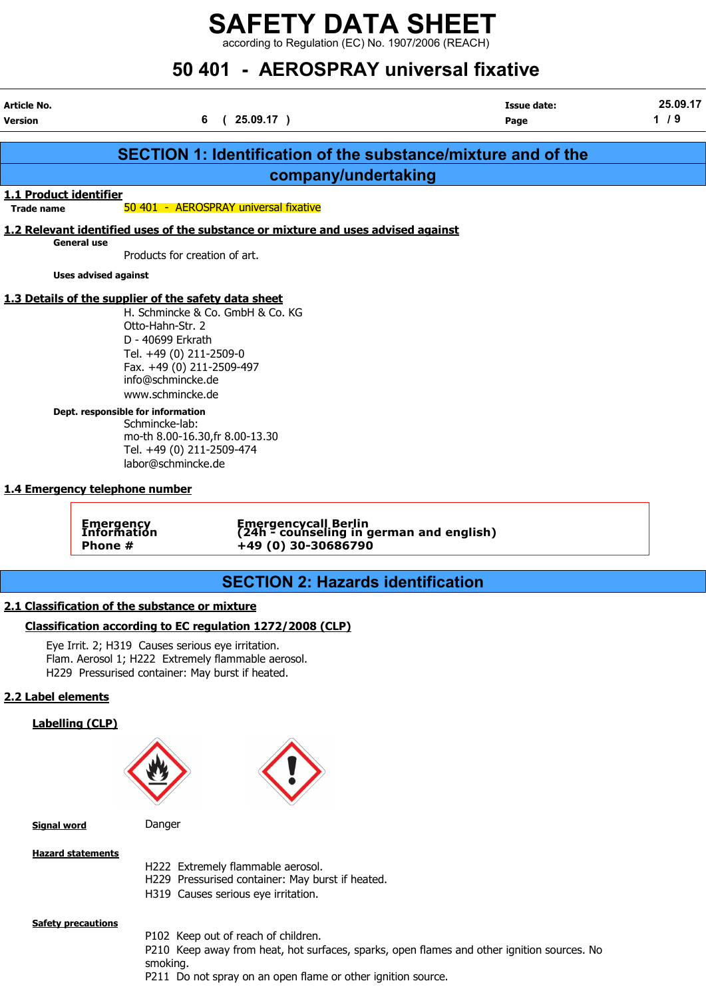according to Regulation (EC) No. 1907/2006 (REACH)

# 50 401 - AEROSPRAY universal fixative

Article No. Issue date: 25.09.17

| <b>Version</b>         |                                                                                                         | 6(25.09.17)                                                                           |                                                                                            | Page | 1/9 |
|------------------------|---------------------------------------------------------------------------------------------------------|---------------------------------------------------------------------------------------|--------------------------------------------------------------------------------------------|------|-----|
|                        |                                                                                                         |                                                                                       | <b>SECTION 1: Identification of the substance/mixture and of the</b>                       |      |     |
|                        |                                                                                                         |                                                                                       | company/undertaking                                                                        |      |     |
| 1.1 Product identifier |                                                                                                         |                                                                                       |                                                                                            |      |     |
| <b>Trade name</b>      |                                                                                                         | 50 401 - AEROSPRAY universal fixative                                                 |                                                                                            |      |     |
|                        | 1.2 Relevant identified uses of the substance or mixture and uses advised against                       |                                                                                       |                                                                                            |      |     |
|                        | <b>General use</b><br>Products for creation of art.                                                     |                                                                                       |                                                                                            |      |     |
|                        | <b>Uses advised against</b>                                                                             |                                                                                       |                                                                                            |      |     |
|                        | 1.3 Details of the supplier of the safety data sheet                                                    |                                                                                       |                                                                                            |      |     |
|                        | H. Schmincke & Co. GmbH & Co. KG                                                                        |                                                                                       |                                                                                            |      |     |
|                        | Otto-Hahn-Str. 2<br>D - 40699 Erkrath                                                                   |                                                                                       |                                                                                            |      |     |
|                        | Tel. +49 (0) 211-2509-0                                                                                 |                                                                                       |                                                                                            |      |     |
|                        | Fax. +49 (0) 211-2509-497<br>info@schmincke.de                                                          |                                                                                       |                                                                                            |      |     |
|                        | www.schmincke.de                                                                                        |                                                                                       |                                                                                            |      |     |
|                        | Dept. responsible for information<br>Schmincke-lab:                                                     |                                                                                       |                                                                                            |      |     |
|                        | mo-th 8.00-16.30, fr 8.00-13.30<br>Tel. +49 (0) 211-2509-474                                            |                                                                                       |                                                                                            |      |     |
|                        | labor@schmincke.de                                                                                      |                                                                                       |                                                                                            |      |     |
|                        | 1.4 Emergency telephone number                                                                          |                                                                                       |                                                                                            |      |     |
|                        |                                                                                                         |                                                                                       |                                                                                            |      |     |
|                        | Emergency<br>Information                                                                                |                                                                                       | Emergencycall Berlin<br>(24h - counseling in german and english)                           |      |     |
|                        | Phone #                                                                                                 | +49 (0) 30-30686790                                                                   |                                                                                            |      |     |
|                        |                                                                                                         |                                                                                       |                                                                                            |      |     |
|                        |                                                                                                         |                                                                                       | <b>SECTION 2: Hazards identification</b>                                                   |      |     |
|                        | 2.1 Classification of the substance or mixture                                                          |                                                                                       |                                                                                            |      |     |
|                        | Classification according to EC regulation 1272/2008 (CLP)                                               |                                                                                       |                                                                                            |      |     |
|                        | Eye Irrit. 2; H319 Causes serious eye irritation.<br>Flam. Aerosol 1; H222 Extremely flammable aerosol. |                                                                                       |                                                                                            |      |     |
|                        | H229 Pressurised container: May burst if heated.                                                        |                                                                                       |                                                                                            |      |     |
| 2.2 Label elements     |                                                                                                         |                                                                                       |                                                                                            |      |     |
|                        | <b>Labelling (CLP)</b>                                                                                  |                                                                                       |                                                                                            |      |     |
|                        |                                                                                                         |                                                                                       |                                                                                            |      |     |
|                        |                                                                                                         |                                                                                       |                                                                                            |      |     |
|                        |                                                                                                         |                                                                                       |                                                                                            |      |     |
|                        |                                                                                                         |                                                                                       |                                                                                            |      |     |
| <b>Signal word</b>     | Danger                                                                                                  |                                                                                       |                                                                                            |      |     |
|                        | <b>Hazard statements</b>                                                                                |                                                                                       |                                                                                            |      |     |
|                        |                                                                                                         | H222 Extremely flammable aerosol.<br>H229 Pressurised container: May burst if heated. |                                                                                            |      |     |
|                        |                                                                                                         | H319 Causes serious eye irritation.                                                   |                                                                                            |      |     |
|                        |                                                                                                         |                                                                                       |                                                                                            |      |     |
|                        | <b>Safety precautions</b>                                                                               | P102 Keep out of reach of children.                                                   |                                                                                            |      |     |
|                        | smoking.                                                                                                |                                                                                       | P210 Keep away from heat, hot surfaces, sparks, open flames and other ignition sources. No |      |     |
|                        |                                                                                                         | P211 Do not spray on an open flame or other ignition source.                          |                                                                                            |      |     |
|                        |                                                                                                         |                                                                                       |                                                                                            |      |     |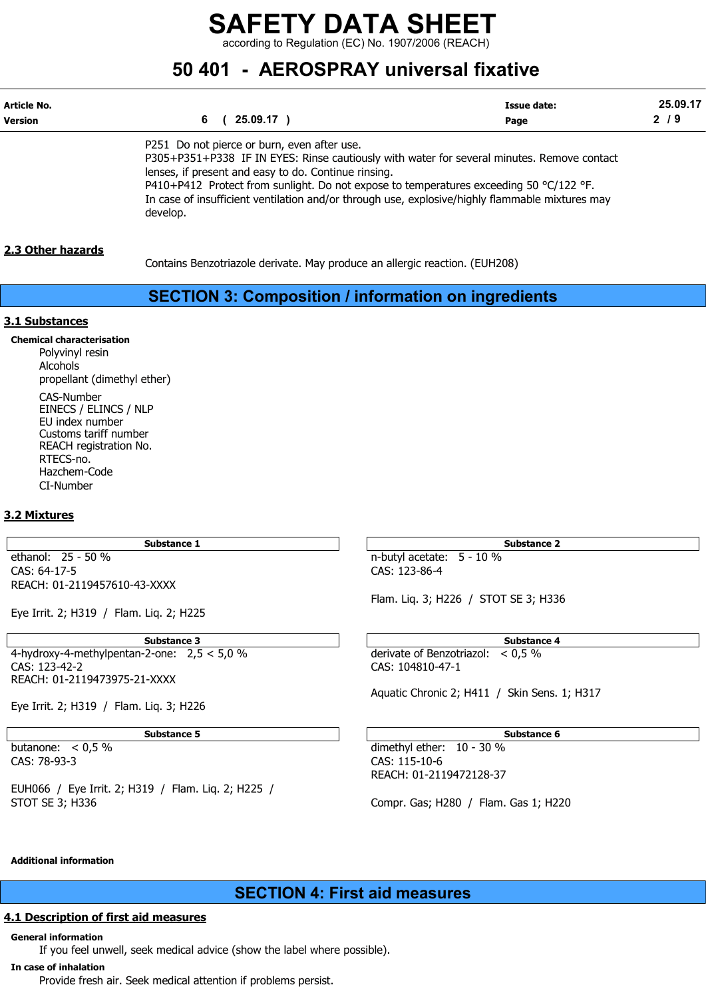according to Regulation (EC) No. 1907/2006 (REACH)

# 50 401 - AEROSPRAY universal fixative

| Article No. | 25.09.17 )                                                                                                                                | Issue date: | 25.09.17 |
|-------------|-------------------------------------------------------------------------------------------------------------------------------------------|-------------|----------|
| Version     |                                                                                                                                           | Page        | 2/9      |
|             | P251 Do not pierce or burn, even after use.<br>P305+P351+P338 IF IN EYES: Rinse cautiously with water for several minutes. Remove contact |             |          |

lenses, if present and easy to do. Continue rinsing. P410+P412 Protect from sunlight. Do not expose to temperatures exceeding 50 °C/122 °F. In case of insufficient ventilation and/or through use, explosive/highly flammable mixtures may develop.

### 2.3 Other hazards

Contains Benzotriazole derivate. May produce an allergic reaction. (EUH208)

# SECTION 3: Composition / information on ingredients

#### 3.1 Substances

Chemical characterisation Polyvinyl resin Alcohols propellant (dimethyl ether) CAS-Number EINECS / ELINCS / NLP EU index number Customs tariff number REACH registration No. RTECS-no. Hazchem-Code CI-Number

## 3.2 Mixtures

CAS: 64-17-5 CAS: 123-86-4 REACH: 01-2119457610-43-XXXX

Eye Irrit. 2; H319 / Flam. Liq. 2; H225

4-hydroxy-4-methylpentan-2-one:  $2,5 < 5,0%$  derivate of Benzotriazol:  $< 0.5%$ <br>CAS: 123-42-2 REACH: 01-2119473975-21-XXXX

Eye Irrit. 2; H319 / Flam. Liq. 3; H226

CAS: 78-93-3 CAS: 115-10-6

EUH066 / Eye Irrit. 2; H319 / Flam. Liq. 2; H225 / STOT SE 3; H336 Compr. Gas; H280 / Flam. Gas 1; H220

Substance 1 Substance 2 ethanol: 25 - 50 % n-butyl acetate: 5 - 10 %

Flam. Liq. 3; H226 / STOT SE 3; H336

Substance 3 and 5 Substance 4 and 5 Substance 4 and 5 Substance 4 and 5 Substance 4 CAS: 123-42-2 CAS: 104810-47-1

Aquatic Chronic 2; H411 / Skin Sens. 1; H317

#### Substance 5 Substance 6 Substance 6 Substance 6 Substance 6 Substance 6 Substance 6 Substance 6 Substance 6 Su

butanone: < 0,5 % dimethyl ether: 10 - 30 % REACH: 01-2119472128-37

#### Additional information

SECTION 4: First aid measures

# 4.1 Description of first aid measures

General information

If you feel unwell, seek medical advice (show the label where possible).

#### In case of inhalation

Provide fresh air. Seek medical attention if problems persist.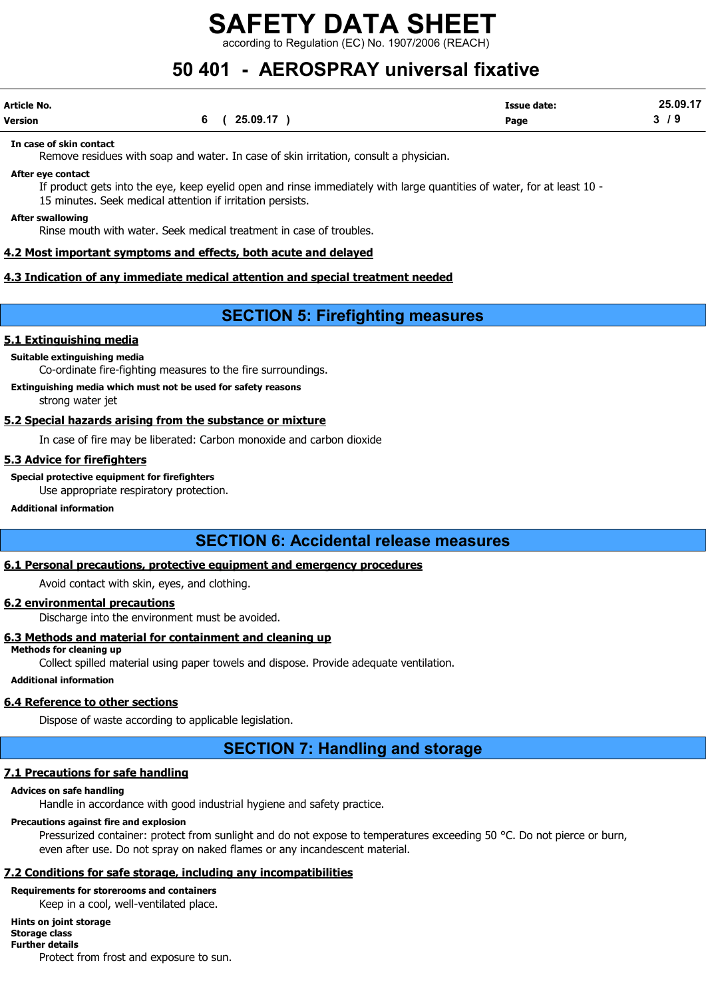according to Regulation (EC) No. 1907/2006 (REACH)

# 50 401 - AEROSPRAY universal fixative

| Article No. |            | <b>Issue date:</b> | 25.09.17 |
|-------------|------------|--------------------|----------|
| Version     | (25.09.17) | Page               | , J      |

#### In case of skin contact

Remove residues with soap and water. In case of skin irritation, consult a physician.

#### After eye contact

If product gets into the eye, keep eyelid open and rinse immediately with large quantities of water, for at least 10 - 15 minutes. Seek medical attention if irritation persists.

#### After swallowing

Rinse mouth with water. Seek medical treatment in case of troubles.

#### 4.2 Most important symptoms and effects, both acute and delayed

#### 4.3 Indication of any immediate medical attention and special treatment needed

# SECTION 5: Firefighting measures

#### 5.1 Extinguishing media

Suitable extinguishing media

Co-ordinate fire-fighting measures to the fire surroundings.

## Extinguishing media which must not be used for safety reasons

strong water jet

#### 5.2 Special hazards arising from the substance or mixture

In case of fire may be liberated: Carbon monoxide and carbon dioxide

#### 5.3 Advice for firefighters

Special protective equipment for firefighters

Use appropriate respiratory protection.

#### Additional information

# SECTION 6: Accidental release measures

# 6.1 Personal precautions, protective equipment and emergency procedures

Avoid contact with skin, eyes, and clothing.

### 6.2 environmental precautions

Discharge into the environment must be avoided.

## 6.3 Methods and material for containment and cleaning up

Methods for cleaning up

Collect spilled material using paper towels and dispose. Provide adequate ventilation.

# Additional information

# 6.4 Reference to other sections

Dispose of waste according to applicable legislation.

# SECTION 7: Handling and storage

# 7.1 Precautions for safe handling

## Advices on safe handling

Handle in accordance with good industrial hygiene and safety practice.

# Precautions against fire and explosion

Pressurized container: protect from sunlight and do not expose to temperatures exceeding 50 °C. Do not pierce or burn, even after use. Do not spray on naked flames or any incandescent material.

# 7.2 Conditions for safe storage, including any incompatibilities

# Requirements for storerooms and containers

Keep in a cool, well-ventilated place.

# Hints on joint storage

#### Storage class Further details

Protect from frost and exposure to sun.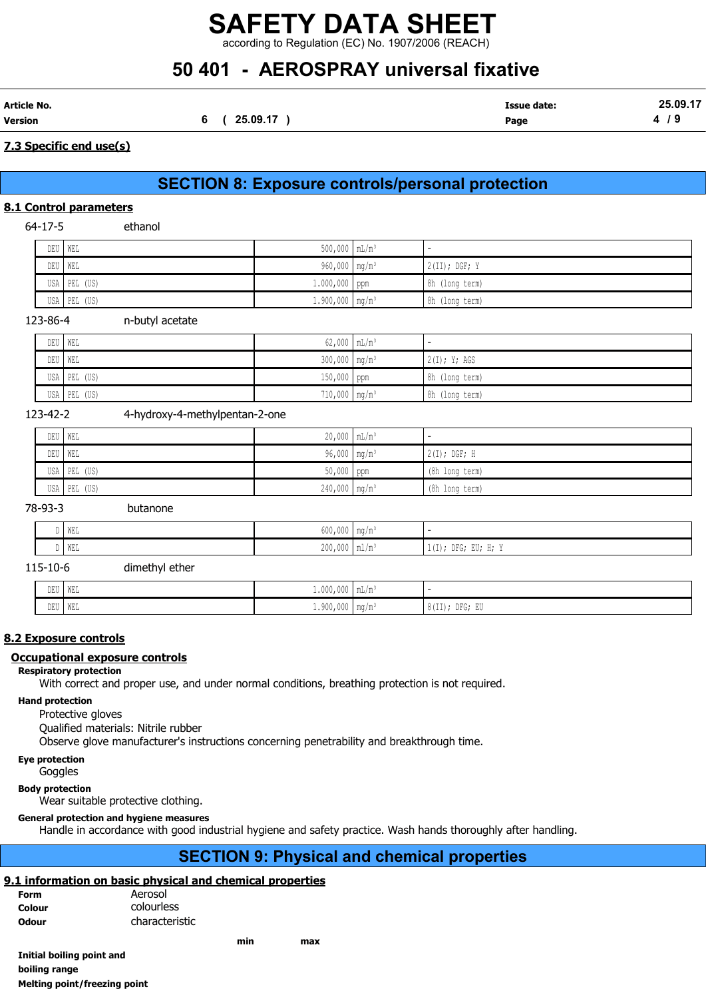according to Regulation (EC) No. 1907/2006 (REACH)

# 50 401 - AEROSPRAY universal fixative

|                             | 25.09.17 |
|-----------------------------|----------|
| 25.09.17<br>Version<br>Page | . .      |

## 7.3 Specific end use(s)

# SECTION 8: Exposure controls/personal protection

## 8.1 Control parameters

64-17-5 ethanol

| DEU   WEL    | $500,000$ $mL/m^3$            | $\overline{\phantom{a}}$ |
|--------------|-------------------------------|--------------------------|
| DEU   WEL    | 960,000   mg/m <sup>3</sup>   | $2(II);$ DGF; Y          |
| USA PEL (US) | $1.000,000$ ppm               | 8h (long term)           |
| USA PEL (US) | $1.900,000$ mg/m <sup>3</sup> | 8h (long term)           |

123-86-4 n-butyl acetate

| DEU WEL |              | $62,000$ $mL/m^3$           | $\overline{\phantom{a}}$ |
|---------|--------------|-----------------------------|--------------------------|
| DEU WEL |              | $300,000$ mg/m <sup>3</sup> | 2(I); Y; AGS             |
|         | USA PEL (US) | $150,000$ ppm               | 8h (long term)           |
|         | USA PEL (US) | $710,000$ mg/m <sup>3</sup> | 8h (long term)           |

#### 123-42-2 4-hydroxy-4-methylpentan-2-one

| DEU WEL |              | $20,000$ $mL/m^3$           |                 |
|---------|--------------|-----------------------------|-----------------|
| DEU WEL |              | $96,000$ mg/m <sup>3</sup>  | $12(I);$ DGF; H |
|         | USA PEL (US) | $50,000$ ppm                | (8h long term)  |
|         | USA PEL (US) | $240,000$ mg/m <sup>3</sup> | (8h long term)  |

#### 78-93-3 butanone

| D WEL | $C \cap \cap$<br>.<br>$600,000$   mg/m $^3$ |                                            |
|-------|---------------------------------------------|--------------------------------------------|
| D WEL | $200,000$   ml/m <sup>3</sup>               | $\cdots$<br>$1(I);$ DFG;<br>EU;<br>$\pm I$ |

115-10-6 dimethyl ether

| DEU | WEL | $1.000,000$ mL/m                |                                                          |
|-----|-----|---------------------------------|----------------------------------------------------------|
| DEU | WEL | $1.900,000$   mg/m <sup>3</sup> | 0.1771<br>$-1$ ; DFG; F <sup>r</sup><br>. 6 (11) ;<br>ື່ |

## 8.2 Exposure controls

#### Occupational exposure controls

#### Respiratory protection

With correct and proper use, and under normal conditions, breathing protection is not required.

#### Hand protection

Protective gloves

Qualified materials: Nitrile rubber

Observe glove manufacturer's instructions concerning penetrability and breakthrough time.

### Eye protection

**Goggles** 

#### Body protection

Wear suitable protective clothing.

#### General protection and hygiene measures

Handle in accordance with good industrial hygiene and safety practice. Wash hands thoroughly after handling.

# SECTION 9: Physical and chemical properties

## 9.1 information on basic physical and chemical properties

| Form         | Aerosol        |
|--------------|----------------|
| Colour       | colourless     |
| <b>Odour</b> | characteristic |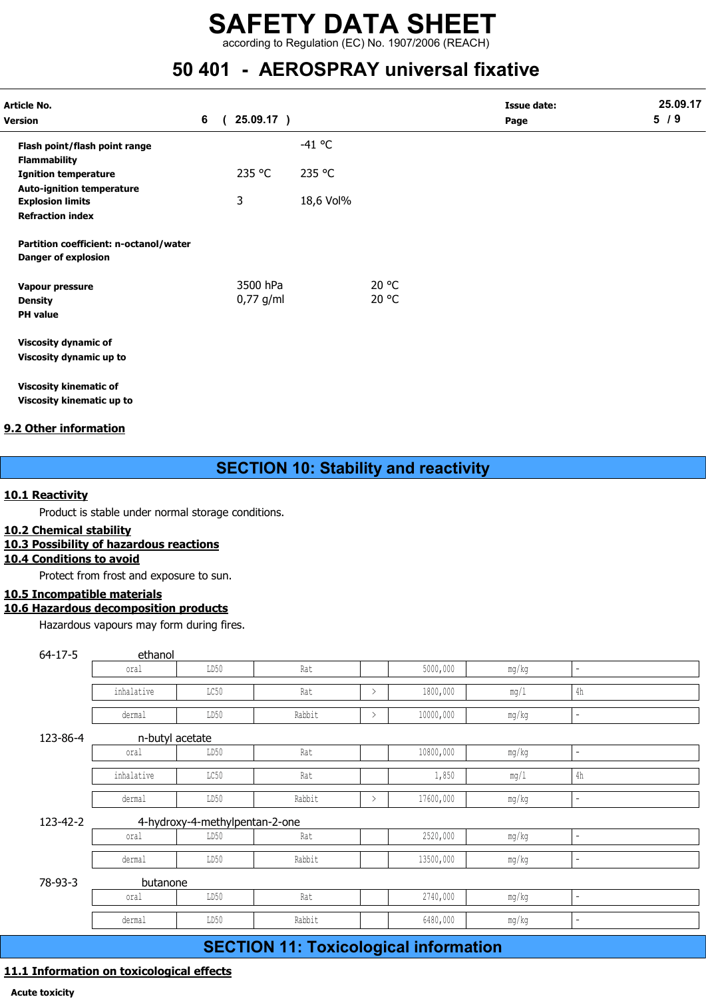according to Regulation (EC) No. 1907/2006 (REACH)

# 50 401 - AEROSPRAY universal fixative

| <b>Article No.</b><br><b>Version</b>                          | 6 | 25.09.17)   |           |       | <b>Issue date:</b><br>Page | 25.09.17<br>5/9 |
|---------------------------------------------------------------|---|-------------|-----------|-------|----------------------------|-----------------|
| Flash point/flash point range                                 |   |             | $-41$ °C  |       |                            |                 |
| <b>Flammability</b>                                           |   |             |           |       |                            |                 |
| <b>Ignition temperature</b>                                   |   | 235 °C      | 235 °C    |       |                            |                 |
| <b>Auto-ignition temperature</b>                              |   |             |           |       |                            |                 |
| <b>Explosion limits</b>                                       |   | 3           | 18,6 Vol% |       |                            |                 |
| <b>Refraction index</b>                                       |   |             |           |       |                            |                 |
| Partition coefficient: n-octanol/water<br>Danger of explosion |   |             |           |       |                            |                 |
| Vapour pressure                                               |   | 3500 hPa    |           | 20 °C |                            |                 |
| <b>Density</b>                                                |   | $0,77$ g/ml |           | 20 °C |                            |                 |
| <b>PH</b> value                                               |   |             |           |       |                            |                 |
| <b>Viscosity dynamic of</b>                                   |   |             |           |       |                            |                 |
| Viscosity dynamic up to                                       |   |             |           |       |                            |                 |
| <b>Viscosity kinematic of</b>                                 |   |             |           |       |                            |                 |

Viscosity kinematic up to

## 9.2 Other information

# SECTION 10: Stability and reactivity

#### 10.1 Reactivity

#### 10.2 Chemical stability

## 10.3 Possibility of hazardous reactions

### 10.4 Conditions to avoid

## 10.5 Incompatible materials

# 10.6 Hazardous decomposition products

| <b>Other information</b> |                                                    |                                |                                              |               |           |         |                          |  |
|--------------------------|----------------------------------------------------|--------------------------------|----------------------------------------------|---------------|-----------|---------|--------------------------|--|
|                          |                                                    |                                | <b>SECTION 10: Stability and reactivity</b>  |               |           |         |                          |  |
| 1 Reactivity             |                                                    |                                |                                              |               |           |         |                          |  |
|                          | Product is stable under normal storage conditions. |                                |                                              |               |           |         |                          |  |
| 2 Chemical stability     | 3 Possibility of hazardous reactions               |                                |                                              |               |           |         |                          |  |
| 4 Conditions to avoid    |                                                    |                                |                                              |               |           |         |                          |  |
|                          | Protect from frost and exposure to sun.            |                                |                                              |               |           |         |                          |  |
| 5 Incompatible materials |                                                    |                                |                                              |               |           |         |                          |  |
|                          | 6 Hazardous decomposition products                 |                                |                                              |               |           |         |                          |  |
|                          | Hazardous vapours may form during fires.           |                                |                                              |               |           |         |                          |  |
| $64 - 17 - 5$            | ethanol                                            |                                |                                              |               |           |         |                          |  |
|                          | oral                                               | LD50                           | Rat                                          |               | 5000,000  | mg/kg   | $\overline{\phantom{a}}$ |  |
|                          | inhalative                                         | LC50                           | Rat                                          | $\,>\,$       | 1800,000  | mg/1    | $4\mathrm{h}$            |  |
|                          | dermal                                             | LD50                           | Rabbit                                       | $\,>\,$       | 10000,000 | mg/kg   | $\overline{\phantom{a}}$ |  |
| 123-86-4                 | n-butyl acetate                                    |                                |                                              |               |           |         |                          |  |
|                          | oral                                               | LD50                           | Rat                                          |               | 10800,000 | mg/kg   | $\sim$                   |  |
|                          | inhalative                                         | LC50                           | Rat                                          |               | 1,850     | mg/1    | $4\mathrm{h}$            |  |
|                          | dermal                                             | LD50                           | Rabbit                                       | $\rightarrow$ | 17600,000 | mg/kg   | $\blacksquare$           |  |
| 123-42-2                 |                                                    | 4-hydroxy-4-methylpentan-2-one |                                              |               |           |         |                          |  |
|                          | oral                                               | LD50                           | Rat                                          |               | 2520,000  | mg/kg   | Ξ.                       |  |
|                          | dermal                                             | LD50                           | Rabbit                                       |               | 13500,000 | mg/kg   | $\blacksquare$           |  |
| 78-93-3                  | butanone                                           |                                |                                              |               |           |         |                          |  |
|                          | oral                                               | LD50                           | Rat                                          |               | 2740,000  | mg/kg   | $\blacksquare$           |  |
|                          | dermal                                             | LD50                           | Rabbit                                       |               | 6480,000  | $mg/kg$ |                          |  |
|                          |                                                    |                                | <b>SECTION 11: Toxicological information</b> |               |           |         |                          |  |
|                          |                                                    |                                |                                              |               |           |         |                          |  |

# SECTION 11: Toxicological information

# 11.1 Information on toxicological effects

Acute toxicity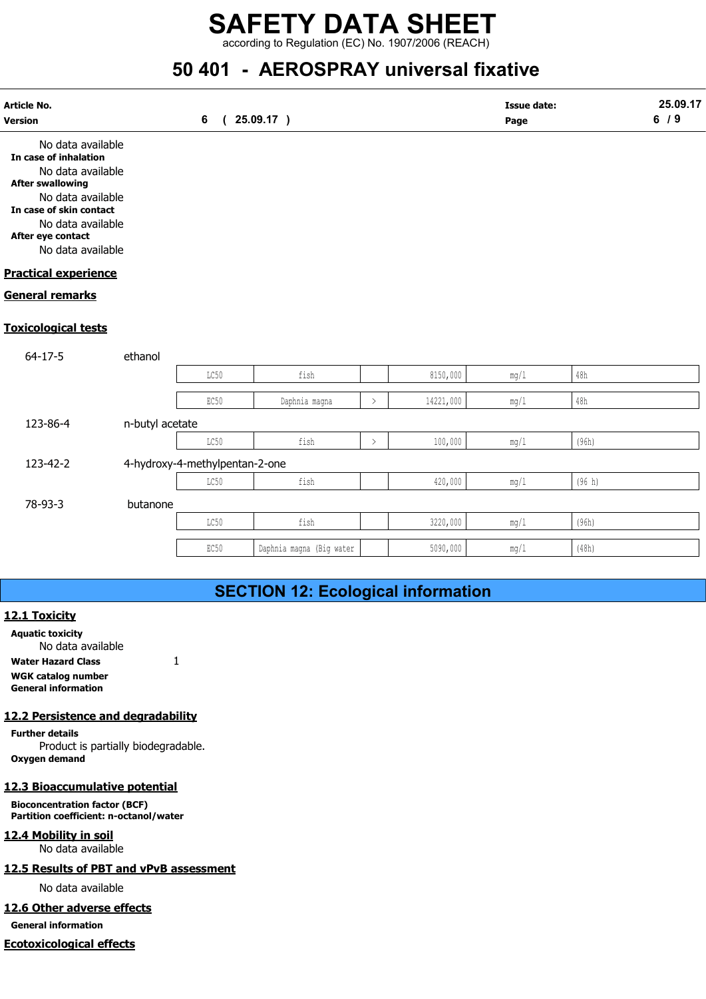according to Regulation (EC) No. 1907/2006 (REACH)

# 50 401 - AEROSPRAY universal fixative

| Article No.<br><b>Version</b>                                                                                                                                                                             |                 | 6                              | 25.09.17)                                 |               |           | <b>Issue date:</b><br>Page |                | 25.09.17<br>6/9 |
|-----------------------------------------------------------------------------------------------------------------------------------------------------------------------------------------------------------|-----------------|--------------------------------|-------------------------------------------|---------------|-----------|----------------------------|----------------|-----------------|
| No data available<br>In case of inhalation<br>No data available<br><b>After swallowing</b><br>No data available<br>In case of skin contact<br>No data available<br>After eye contact<br>No data available |                 |                                |                                           |               |           |                            |                |                 |
| <b>Practical experience</b>                                                                                                                                                                               |                 |                                |                                           |               |           |                            |                |                 |
| <b>General remarks</b>                                                                                                                                                                                    |                 |                                |                                           |               |           |                            |                |                 |
| <b>Toxicological tests</b>                                                                                                                                                                                |                 |                                |                                           |               |           |                            |                |                 |
| $64 - 17 - 5$                                                                                                                                                                                             | ethanol         |                                |                                           |               |           |                            |                |                 |
|                                                                                                                                                                                                           |                 | LC50                           | fish                                      |               | 8150,000  | $mg/1$                     | $48\mathrm{h}$ |                 |
|                                                                                                                                                                                                           |                 | EC50                           | Daphnia magna                             | $\rightarrow$ | 14221,000 | $mg/1$                     | 48h            |                 |
| 123-86-4                                                                                                                                                                                                  | n-butyl acetate |                                |                                           |               |           |                            |                |                 |
|                                                                                                                                                                                                           |                 | $_{\rm LC50}$                  | fish                                      | $\,>\,$       | 100,000   | $mg/1$                     | (96h)          |                 |
| 123-42-2                                                                                                                                                                                                  |                 | 4-hydroxy-4-methylpentan-2-one |                                           |               |           |                            |                |                 |
|                                                                                                                                                                                                           |                 | LC50                           | fish                                      |               | 420,000   | $mg/1$                     | (96 h)         |                 |
| 78-93-3                                                                                                                                                                                                   | butanone        |                                |                                           |               |           |                            |                |                 |
|                                                                                                                                                                                                           |                 | LC50                           | fish                                      |               | 3220,000  | $mg/1$                     | (96h)          |                 |
|                                                                                                                                                                                                           |                 | EC50                           | Daphnia magna (Big water                  |               | 5090,000  | mg/1                       | (48h)          |                 |
|                                                                                                                                                                                                           |                 |                                |                                           |               |           |                            |                |                 |
|                                                                                                                                                                                                           |                 |                                | <b>SECTION 12: Ecological information</b> |               |           |                            |                |                 |
| 12.1 Toxicity<br><b>Aquatic toxicity</b><br>No data available                                                                                                                                             |                 |                                |                                           |               |           |                            |                |                 |

# SECTION 12: Ecological information

#### 12.1 Toxicity

Aquatic toxicity No data available Water Hazard Class 1 WGK catalog number General information

## 12.2 Persistence and degradability

Further details Product is partially biodegradable. Oxygen demand

#### 12.3 Bioaccumulative potential

Bioconcentration factor (BCF) Partition coefficient: n-octanol/water

12.4 Mobility in soil No data available

#### 12.5 Results of PBT and vPvB assessment

No data available

#### 12.6 Other adverse effects

General information

#### Ecotoxicological effects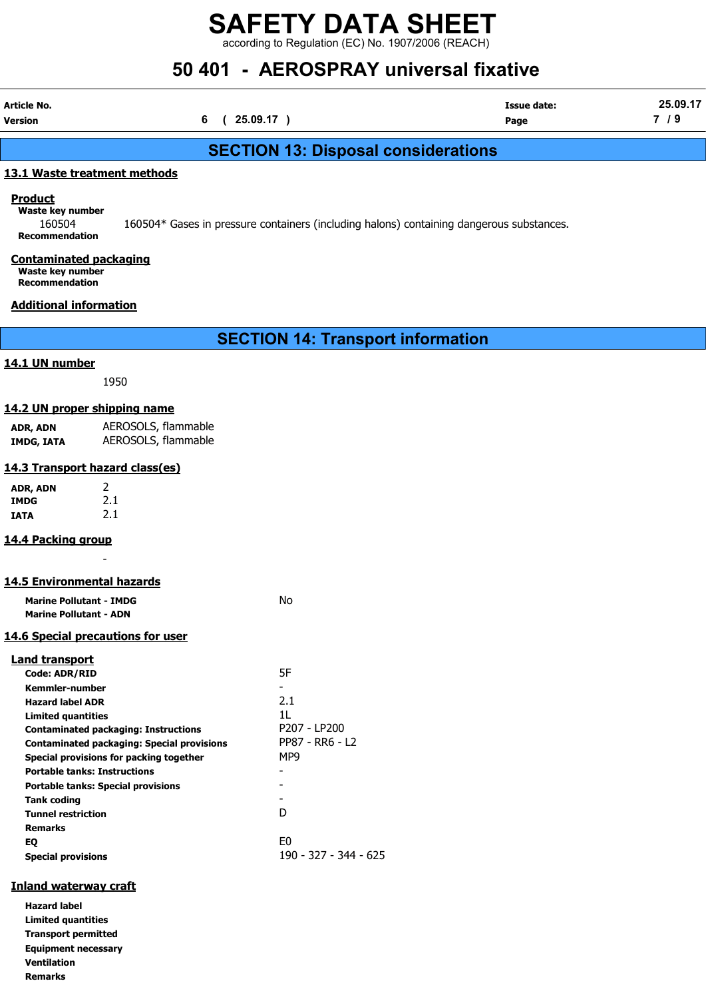according to Regulation (EC) No. 1907/2006 (REACH)

# 50 401 - AEROSPRAY universal fixative

| Article No. |            | <b>Issue date:</b> | 25.09.17 |
|-------------|------------|--------------------|----------|
| Version     | (25.09.17) | Page               | $\sim$   |

# SECTION 13: Disposal considerations

#### 13.1 Waste treatment methods

**Product** 

Waste key number 160504 160504\* Gases in pressure containers (including halons) containing dangerous substances. Recommendation

## Contaminated packaging

Waste key number Recommendation

### Additional information

SECTION 14: Transport information

#### 14.1 UN number

1950

#### 14.2 UN proper shipping name

ADR, ADN AEROSOLS, flammable IMDG, IATA AEROSOLS, flammable

#### 14.3 Transport hazard class(es)

| ADR, ADN | 2   |
|----------|-----|
| IMDG     | 2.1 |
| IATA     | 2.1 |

#### 14.4 Packing group

# 14.5 Environmental hazards

-

| <b>Marine Pollutant - IMDG</b>                    | Nο                    |
|---------------------------------------------------|-----------------------|
| <b>Marine Pollutant - ADN</b>                     |                       |
| <u>14.6 Special precautions for user</u>          |                       |
| <b>Land transport</b>                             |                       |
| Code: ADR/RID                                     | 5F                    |
| Kemmler-number                                    |                       |
| <b>Hazard label ADR</b>                           | 2.1                   |
| Limited quantities                                | 1L                    |
| <b>Contaminated packaging: Instructions</b>       | P207 - LP200          |
| <b>Contaminated packaging: Special provisions</b> | PP87 - RR6 - L2       |
| Special provisions for packing together           | MP9                   |
| <b>Portable tanks: Instructions</b>               |                       |
| <b>Portable tanks: Special provisions</b>         |                       |
| Tank coding                                       |                       |
| <b>Tunnel restriction</b>                         | D                     |
| <b>Remarks</b>                                    |                       |
| EQ                                                | E0                    |
| <b>Special provisions</b>                         | 190 - 327 - 344 - 625 |
|                                                   |                       |

## Inland waterway craft

Hazard label Limited quantities Transport permitted Equipment necessary Ventilation Remarks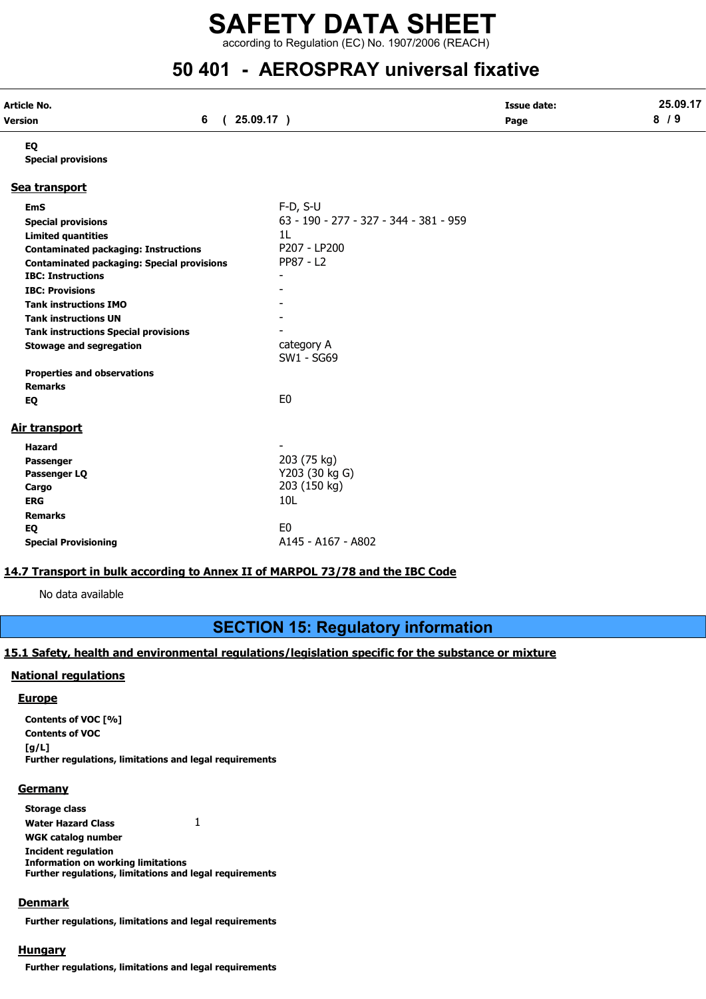according to Regulation (EC) No. 1907/2006 (REACH)

# 50 401 - AEROSPRAY universal fixative

| Article No. |          | <b>Issue date:</b> | 25.09.17                           |
|-------------|----------|--------------------|------------------------------------|
| Version     | 25.09.17 | Page               | $\bullet$<br>$^{\prime}$ Q.<br>. J |

EQ

#### Special provisions

#### Sea transport

| <b>EmS</b>                                        | $F-D, S-U$                             |
|---------------------------------------------------|----------------------------------------|
| <b>Special provisions</b>                         | 63 - 190 - 277 - 327 - 344 - 381 - 959 |
| <b>Limited quantities</b>                         | 1L                                     |
| <b>Contaminated packaging: Instructions</b>       | P207 - LP200                           |
| <b>Contaminated packaging: Special provisions</b> | PP87 - 12                              |
| <b>IBC: Instructions</b>                          |                                        |
| <b>IBC: Provisions</b>                            |                                        |
| <b>Tank instructions IMO</b>                      |                                        |
| <b>Tank instructions UN</b>                       |                                        |
| <b>Tank instructions Special provisions</b>       |                                        |
| <b>Stowage and segregation</b>                    | category A<br>SW1 - SG69               |
| <b>Properties and observations</b>                |                                        |
| <b>Remarks</b>                                    |                                        |
| EQ                                                | E0                                     |
| <u>Air transport</u>                              |                                        |
| <b>Hazard</b>                                     |                                        |
| <b>Passenger</b>                                  | 203 (75 kg)                            |
| Passenger LQ                                      | Y203 (30 kg G)                         |
| Cargo                                             | 203 (150 kg)                           |
| <b>ERG</b>                                        | 10 <sub>L</sub>                        |
| <b>Remarks</b>                                    |                                        |
| EQ                                                | E <sub>0</sub>                         |
| <b>Special Provisioning</b>                       | A145 - A167 - A802                     |

#### 14.7 Transport in bulk according to Annex II of MARPOL 73/78 and the IBC Code

No data available

# SECTION 15: Regulatory information

## 15.1 Safety, health and environmental regulations/legislation specific for the substance or mixture

#### National regulations

#### **Europe**

Contents of VOC [%] Contents of VOC [g/L] Further regulations, limitations and legal requirements

#### **Germany**

Storage class Water Hazard Class 1 WGK catalog number Incident regulation Information on working limitations Further regulations, limitations and legal requirements

#### Denmark

Further regulations, limitations and legal requirements

#### **Hungary**

Further regulations, limitations and legal requirements